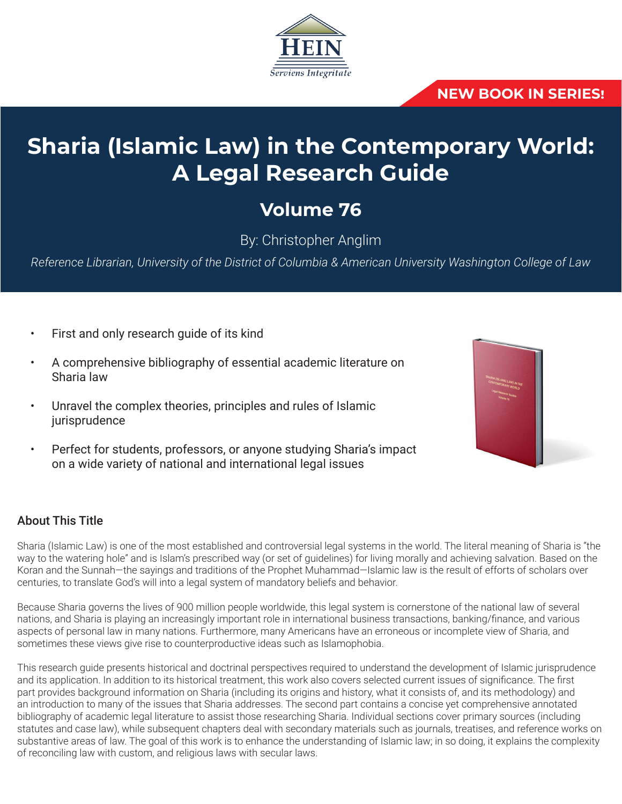

### **NEW BOOK IN SERIES!**

# **Sharia (Islamic Law) in the Contemporary World: A Legal Research Guide**

## **Volume 76**

By: Christopher Anglim

*Reference Librarian, University of the District of Columbia & American University Washington College of Law*

- First and only research guide of its kind
- A comprehensive bibliography of essential academic literature on Sharia law
- Unravel the complex theories, principles and rules of Islamic jurisprudence
- Perfect for students, professors, or anyone studying Sharia's impact on a wide variety of national and international legal issues



#### About This Title

Sharia (Islamic Law) is one of the most established and controversial legal systems in the world. The literal meaning of Sharia is "the way to the watering hole" and is Islam's prescribed way (or set of guidelines) for living morally and achieving salvation. Based on the Koran and the Sunnah—the sayings and traditions of the Prophet Muhammad—Islamic law is the result of efforts of scholars over centuries, to translate God's will into a legal system of mandatory beliefs and behavior.

Because Sharia governs the lives of 900 million people worldwide, this legal system is cornerstone of the national law of several nations, and Sharia is playing an increasingly important role in international business transactions, banking/finance, and various aspects of personal law in many nations. Furthermore, many Americans have an erroneous or incomplete view of Sharia, and sometimes these views give rise to counterproductive ideas such as Islamophobia.

This research guide presents historical and doctrinal perspectives required to understand the development of Islamic jurisprudence and its application. In addition to its historical treatment, this work also covers selected current issues of significance. The first part provides background information on Sharia (including its origins and history, what it consists of, and its methodology) and an introduction to many of the issues that Sharia addresses. The second part contains a concise yet comprehensive annotated bibliography of academic legal literature to assist those researching Sharia. Individual sections cover primary sources (including statutes and case law), while subsequent chapters deal with secondary materials such as journals, treatises, and reference works on substantive areas of law. The goal of this work is to enhance the understanding of Islamic law; in so doing, it explains the complexity of reconciling law with custom, and religious laws with secular laws.